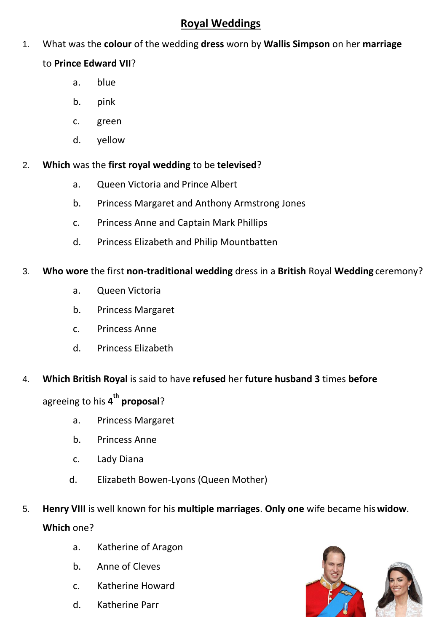## **Royal Weddings**

1. What was the **colour** of the wedding **dress** worn by **Wallis Simpson** on her **marriage**

## to **Prince Edward VII**?

- a. blue
- b. pink
- c. green
- d. yellow
- 2. **Which** was the **first royal wedding** to be **televised**?
	- a. Queen Victoria and Prince Albert
	- b. Princess Margaret and Anthony Armstrong Jones
	- c. Princess Anne and Captain Mark Phillips
	- d. Princess Elizabeth and Philip Mountbatten
- 3. **Who wore** the first **non-traditional wedding** dress in a **British** Royal **Wedding** ceremony?
	- a. Queen Victoria
	- b. Princess Margaret
	- c. Princess Anne
	- d. Princess Elizabeth
- 4. **Which British Royal** is said to have **refused** her **future husband 3** times **before**

agreeing to his **4 th proposal**?

- a. Princess Margaret
- b. Princess Anne
- c. Lady Diana
- d. Elizabeth Bowen-Lyons (Queen Mother)
- 5. **Henry VIII** is well known for his **multiple marriages**. **Only one** wife became his**widow**. **Which** one?
	- a. Katherine of Aragon
	- b. Anne of Cleves
	- c. Katherine Howard
	- d. Katherine Parr